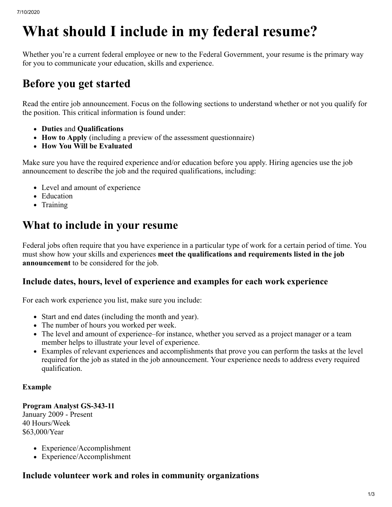# **What should I include in my federal resume?**

Whether you're a current federal employee or new to the Federal Government, your resume is the primary way for you to communicate your education, skills and experience.

# **Before you get started**

Read the entire job announcement. Focus on the following sections to understand whether or not you qualify for the position. This critical information is found under:

- **Duties** and **Qualifications**
- **How to Apply** (including a preview of the assessment questionnaire)
- **How You Will be Evaluated**

Make sure you have the required experience and/or education before you apply. Hiring agencies use the job announcement to describe the job and the required qualifications, including:

- Level and amount of experience
- Education
- Training

## **What to include in your resume**

Federal jobs often require that you have experience in a particular type of work for a certain period of time. You must show how your skills and experiences **meet the qualifications and requirements listed in the job announcement** to be considered for the job.

### **Include dates, hours, level of experience and examples for each work experience**

For each work experience you list, make sure you include:

- Start and end dates (including the month and year).
- The number of hours you worked per week.
- The level and amount of experience–for instance, whether you served as a project manager or a team member helps to illustrate your level of experience.
- Examples of relevant experiences and accomplishments that prove you can perform the tasks at the level required for the job as stated in the job announcement. Your experience needs to address every required qualification.

### **Example**

**Program Analyst GS-343-11** January 2009 - Present 40 Hours/Week \$63,000/Year

- Experience/Accomplishment
- Experience/Accomplishment

### **Include volunteer work and roles in community organizations**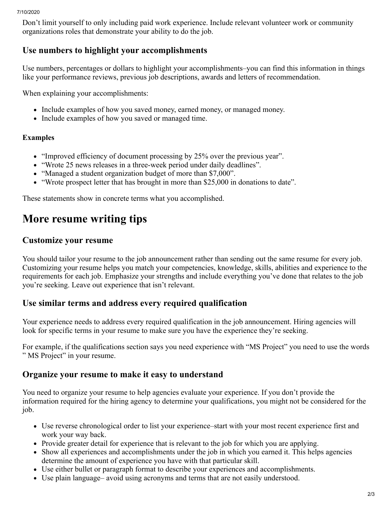#### 7/10/2020

Don't limit yourself to only including paid work experience. Include relevant volunteer work or community organizations roles that demonstrate your ability to do the job.

### **Use numbers to highlight your accomplishments**

Use numbers, percentages or dollars to highlight your accomplishments–you can find this information in things like your performance reviews, previous job descriptions, awards and letters of recommendation.

When explaining your accomplishments:

- Include examples of how you saved money, earned money, or managed money.
- Include examples of how you saved or managed time.

### **Examples**

- "Improved efficiency of document processing by 25% over the previous year".
- "Wrote 25 news releases in a three-week period under daily deadlines".
- "Managed a student organization budget of more than \$7,000".
- "Wrote prospect letter that has brought in more than \$25,000 in donations to date".

These statements show in concrete terms what you accomplished.

# **More resume writing tips**

### **Customize your resume**

You should tailor your resume to the job announcement rather than sending out the same resume for every job. Customizing your resume helps you match your competencies, knowledge, skills, abilities and experience to the requirements for each job. Emphasize your strengths and include everything you've done that relates to the job you're seeking. Leave out experience that isn't relevant.

### **Use similar terms and address every required qualification**

Your experience needs to address every required qualification in the job announcement. Hiring agencies will look for specific terms in your resume to make sure you have the experience they're seeking.

For example, if the qualifications section says you need experience with "MS Project" you need to use the words " MS Project" in your resume.

### **Organize your resume to make it easy to understand**

You need to organize your resume to help agencies evaluate your experience. If you don't provide the information required for the hiring agency to determine your qualifications, you might not be considered for the job.

- Use reverse chronological order to list your experience–start with your most recent experience first and work your way back.
- Provide greater detail for experience that is relevant to the job for which you are applying.
- Show all experiences and accomplishments under the job in which you earned it. This helps agencies determine the amount of experience you have with that particular skill.
- Use either bullet or paragraph format to describe your experiences and accomplishments.
- Use plain language– avoid using acronyms and terms that are not easily understood.